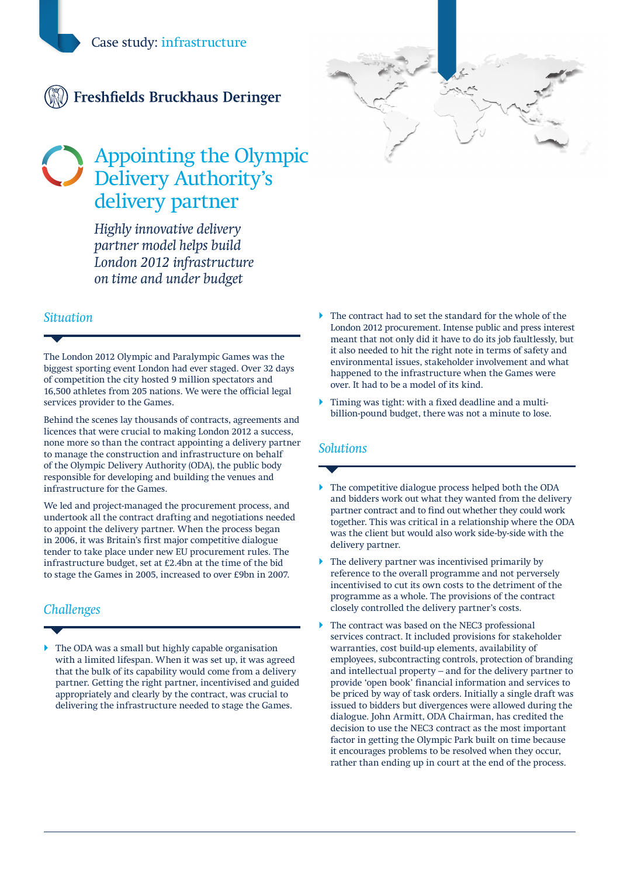

# Appointing the Olympic Delivery Authority's delivery partner

*Highly innovative delivery partner model helps build London 2012 infrastructure on time and under budget*

#### *Situation*

The London 2012 Olympic and Paralympic Games was the biggest sporting event London had ever staged. Over 32 days of competition the city hosted 9 million spectators and 16,500 athletes from 205 nations. We were the official legal services provider to the Games.

Behind the scenes lay thousands of contracts, agreements and licences that were crucial to making London 2012 a success, none more so than the contract appointing a delivery partner to manage the construction and infrastructure on behalf of the Olympic Delivery Authority (ODA), the public body responsible for developing and building the venues and infrastructure for the Games.

We led and project-managed the procurement process, and undertook all the contract drafting and negotiations needed to appoint the delivery partner. When the process began in 2006, it was Britain's first major competitive dialogue tender to take place under new EU procurement rules. The infrastructure budget, set at £2.4bn at the time of the bid to stage the Games in 2005, increased to over £9bn in 2007.

## *Challenges*

The ODA was a small but highly capable organisation with a limited lifespan. When it was set up, it was agreed that the bulk of its capability would come from a delivery partner. Getting the right partner, incentivised and guided appropriately and clearly by the contract, was crucial to delivering the infrastructure needed to stage the Games.

- The contract had to set the standard for the whole of the London 2012 procurement. Intense public and press interest meant that not only did it have to do its job faultlessly, but it also needed to hit the right note in terms of safety and environmental issues, stakeholder involvement and what happened to the infrastructure when the Games were over. It had to be a model of its kind.
- $\blacktriangleright$  Timing was tight: with a fixed deadline and a multibillion-pound budget, there was not a minute to lose.

#### *Solutions*

- } The competitive dialogue process helped both the ODA and bidders work out what they wanted from the delivery partner contract and to find out whether they could work together. This was critical in a relationship where the ODA was the client but would also work side-by-side with the delivery partner.
- The delivery partner was incentivised primarily by reference to the overall programme and not perversely incentivised to cut its own costs to the detriment of the programme as a whole. The provisions of the contract closely controlled the delivery partner's costs.
- } The contract was based on the NEC3 professional services contract. It included provisions for stakeholder warranties, cost build-up elements, availability of employees, subcontracting controls, protection of branding and intellectual property – and for the delivery partner to provide 'open book' financial information and services to be priced by way of task orders. Initially a single draft was issued to bidders but divergences were allowed during the dialogue. John Armitt, ODA Chairman, has credited the decision to use the NEC3 contract as the most important factor in getting the Olympic Park built on time because it encourages problems to be resolved when they occur, rather than ending up in court at the end of the process.